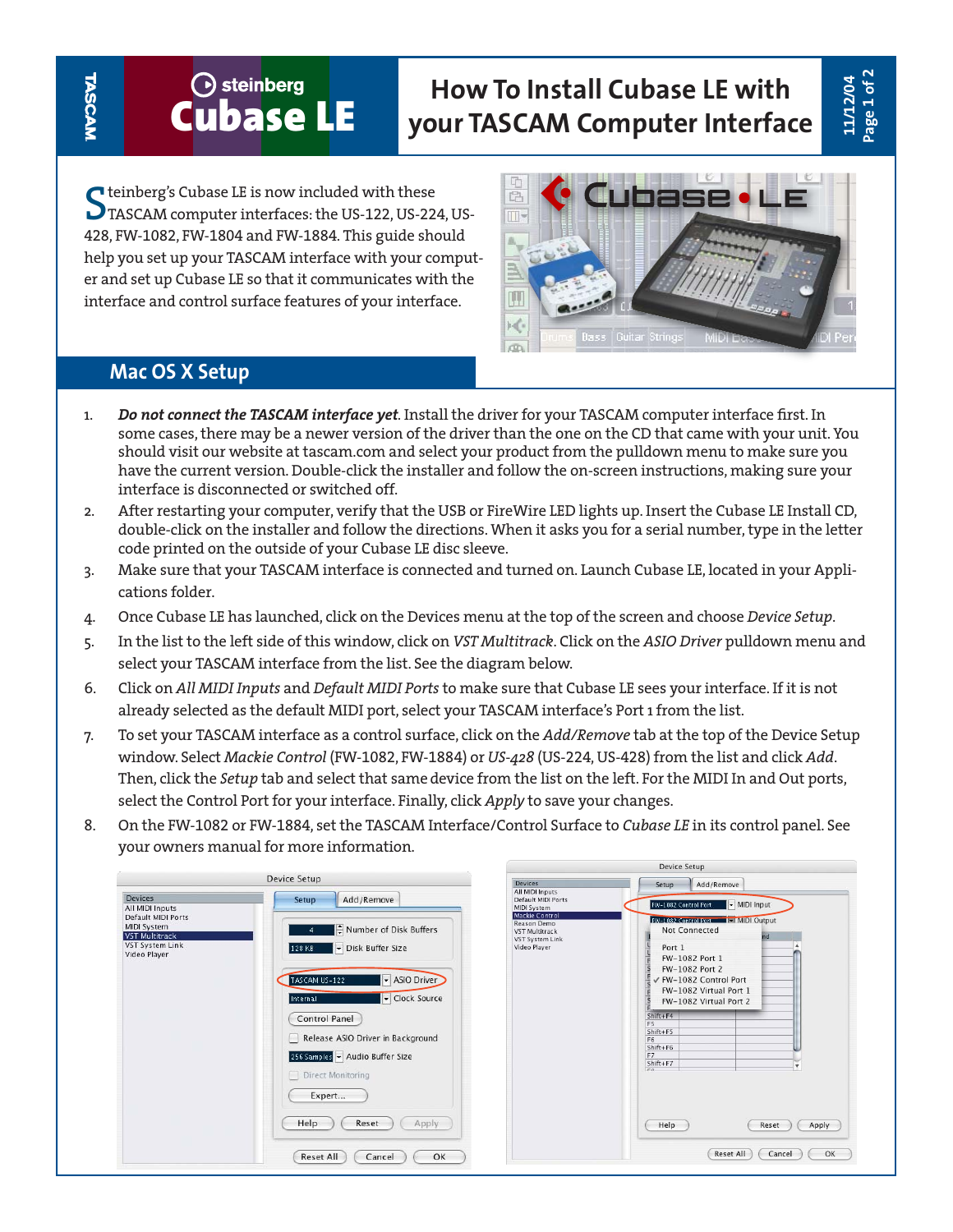## **Cubase LE How To Install Cubase LE with your TASCAM Computer Interface**

Steinberg's Cubase LE is now included with these<br>TASCAM computer interfaces: the US-122, US-224, US-428, FW-1082, FW-1804 and FW-1884. This guide should help you set up your TASCAM interface with your computer and set up Cubase LE so that it communicates with the interface and control surface features of your interface.



## **Mac OS X Setup**

- 1. *Do not connect the TASCAM interface yet*. Install the driver for your TASCAM computer interface first. In some cases, there may be a newer version of the driver than the one on the CD that came with your unit. You should visit our website at tascam.com and select your product from the pulldown menu to make sure you have the current version. Double-click the installer and follow the on-screen instructions, making sure your interface is disconnected or switched off.
- 2. After restarting your computer, verify that the USB or FireWire LED lights up. Insert the Cubase LE Install CD, double-click on the installer and follow the directions. When it asks you for a serial number, type in the letter code printed on the outside of your Cubase LE disc sleeve.
- 3. Make sure that your TASCAM interface is connected and turned on. Launch Cubase LE, located in your Applications folder.
- 4. Once Cubase LE has launched, click on the Devices menu at the top of the screen and choose *Device Setup*.
- 5. In the list to the left side of this window, click on *VST Multitrack*. Click on the *ASIO Driver* pulldown menu and select your TASCAM interface from the list. See the diagram below.
- 6. Click on *All MIDI Inputs* and *Default MIDI Ports* to make sure that Cubase LE sees your interface. If it is not already selected as the default MIDI port, select your TASCAM interface's Port 1 from the list.
- 7. To set your TASCAM interface as a control surface, click on the *Add/Remove* tab at the top of the Device Setup window. Select *Mackie Control* (FW-1082, FW-1884) or *US-428* (US-224, US-428) from the list and click *Add*. Then, click the *Setup* tab and select that same device from the list on the left. For the MIDI In and Out ports, select the Control Port for your interface. Finally, click *Apply* to save your changes.
- 8. On the FW-1082 or FW-1884, set the TASCAM Interface/Control Surface to *Cubase LE* in its control panel. See your owners manual for more information.

| Device Setup                                                                                                                              |                                                                                                                                                                                                                                                                                                                                 | <b>Devices</b>                                                                                                                                                         | Add/Remove<br>Setup                                                                                                                                                                                                                                                                                                                                                                                                         |  |
|-------------------------------------------------------------------------------------------------------------------------------------------|---------------------------------------------------------------------------------------------------------------------------------------------------------------------------------------------------------------------------------------------------------------------------------------------------------------------------------|------------------------------------------------------------------------------------------------------------------------------------------------------------------------|-----------------------------------------------------------------------------------------------------------------------------------------------------------------------------------------------------------------------------------------------------------------------------------------------------------------------------------------------------------------------------------------------------------------------------|--|
| <b>Devices</b><br>All MIDI Inputs<br>Default MIDI Ports<br><b>MIDI System</b><br><b>VST Multitrack</b><br>VST System Link<br>Video Player | Add/Remove<br>Setup<br>Number of Disk Buffers<br>Disk Buffer Size<br>128 KB<br>- ASIO Driver<br>TASCAM US-122<br>Clock Source<br>Internal<br>Control Panel<br>Release ASIO Driver in Background<br>256 Samples - Audio Buffer Size<br>Direct Monitoring<br>Expert<br>Apply<br>Reset<br>Help<br>Cancel<br>OK<br><b>Reset All</b> | All MIDI Inputs<br>Default MIDI Ports<br><b>MIDI System</b><br><b>Mackie Control</b><br><b>Reason Demo</b><br><b>VST Multitrack</b><br>VST System Link<br>Video Player | $\blacktriangleright$ MIDI Input<br>FW-1082 Control Port<br>FW-1082 Control Port FILMIDI Output<br>Not Connected<br>nd<br>Port 1<br>FW-1082 Port 1<br>FW-1082 Port 2<br>√ FW-1082 Control Port<br>FW-1082 Virtual Port 1<br>FW-1082 Virtual Port 2<br>$Shift + F4$<br>F5<br>$Shift + FS$<br>F6<br>$Shift+F6$<br>F7<br>$Shift + F7$<br>$\cdot$<br>$r_{\Omega}$<br>Help<br>Apply<br>Reset<br><b>Reset All</b><br>OK<br>Cancel |  |